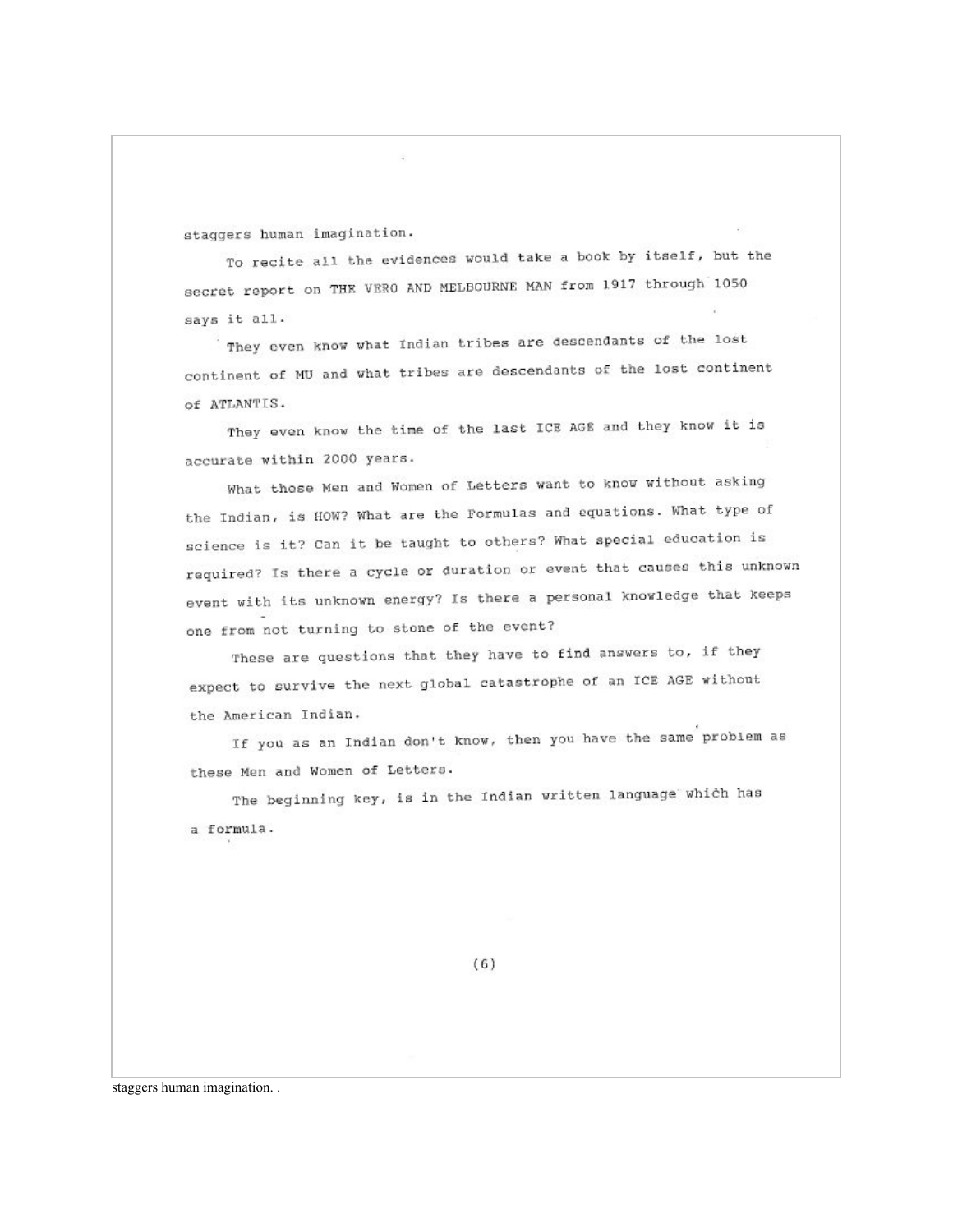staggers human imagination.

To recite all the evidences would take a book by itself, but the secret report on THE VERO AND MELBOURNE MAN from 1917 through 1050 says it all.

They even know what Indian tribes are descendants of the lost continent of MU and what tribes are descendants of the lost continent of ATLANTIS.

They even know the time of the last ICE AGE and they know it is accurate within 2000 years.

What these Men and Women of Letters want to know without asking the Indian, is HOW? What are the Formulas and equations. What type of science is it? Can it be taught to others? What special education is required? Is there a cycle or duration or event that causes this unknown event with its unknown energy? Is there a personal knowledge that keeps one from not turning to stone of the event?

These are questions that they have to find answers to, if they expect to survive the next global catastrophe of an ICE AGE without the American Indian.

If you as an Indian don't know, then you have the same problem as these Men and Women of Letters.

The beginning key, is in the Indian written language which has a formula.

 $(6)$ 

staggers human imagination...